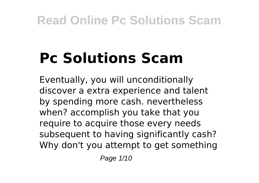# **Pc Solutions Scam**

Eventually, you will unconditionally discover a extra experience and talent by spending more cash. nevertheless when? accomplish you take that you require to acquire those every needs subsequent to having significantly cash? Why don't you attempt to get something

Page 1/10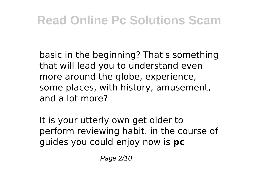basic in the beginning? That's something that will lead you to understand even more around the globe, experience, some places, with history, amusement, and a lot more?

It is your utterly own get older to perform reviewing habit. in the course of guides you could enjoy now is **pc**

Page 2/10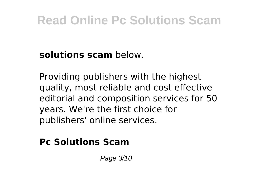**solutions scam** below.

Providing publishers with the highest quality, most reliable and cost effective editorial and composition services for 50 years. We're the first choice for publishers' online services.

#### **Pc Solutions Scam**

Page 3/10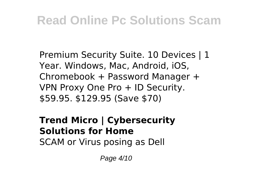Premium Security Suite. 10 Devices | 1 Year. Windows, Mac, Android, iOS, Chromebook + Password Manager + VPN Proxy One Pro + ID Security. \$59.95. \$129.95 (Save \$70)

### **Trend Micro | Cybersecurity Solutions for Home**

SCAM or Virus posing as Dell

Page 4/10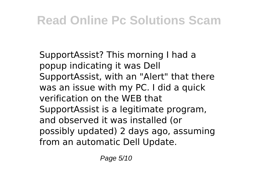SupportAssist? This morning I had a popup indicating it was Dell SupportAssist, with an "Alert" that there was an issue with my PC. I did a quick verification on the WEB that SupportAssist is a legitimate program, and observed it was installed (or possibly updated) 2 days ago, assuming from an automatic Dell Update.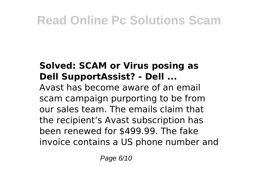### **Solved: SCAM or Virus posing as Dell SupportAssist? - Dell ...**

Avast has become aware of an email scam campaign purporting to be from our sales team. The emails claim that the recipient's Avast subscription has been renewed for \$499.99. The fake invoice contains a US phone number and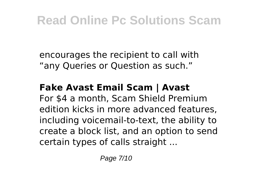encourages the recipient to call with "any Queries or Question as such."

#### **Fake Avast Email Scam | Avast**

For \$4 a month, Scam Shield Premium edition kicks in more advanced features, including voicemail-to-text, the ability to create a block list, and an option to send certain types of calls straight ...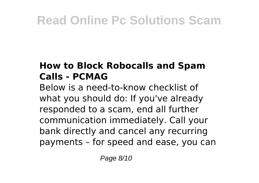### **How to Block Robocalls and Spam Calls - PCMAG**

Below is a need-to-know checklist of what you should do: If you've already responded to a scam, end all further communication immediately. Call your bank directly and cancel any recurring payments – for speed and ease, you can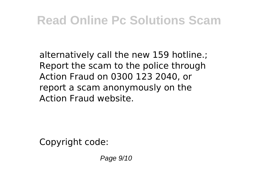alternatively call the new 159 hotline.; Report the scam to the police through Action Fraud on 0300 123 2040, or report a scam anonymously on the Action Fraud website.

Copyright code:

Page 9/10